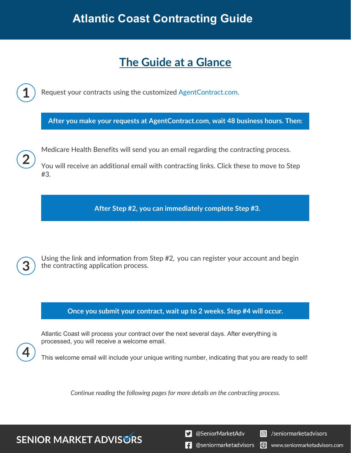# **Atlantic Coast Contracting Guide**

# **The Guide at a Glance**

Request your contracts using the customized [AgentContract.com.](http://agentcontracting.com/)

**After you make your requests at AgentContract.com, wait 48 business hours. Then:**

Medicare Health Benefits will send you an email regarding the contracting process.

You will receive an additional email with contracting links. Click these to move to Step #3.

**After Step #2, you can immediately complete Step #3.** 

**SENIOR MARKET ADVISURS** 

Using the link and information from Step #2, you can register your account and begin the contracting application process.

## **Once you submit your contract, wait up to 2 weeks. Step #4 will occur.**

Atlantic Coast will process your contract over the next several days. After everything is processed, you will receive a welcome email.

This welcome email will include your unique writing number, indicating that you are ready to sell!

*Continue reading the following pages for more details on the contracting process.* 

S @SeniorMarketAdv

Seniormarketadvisors

 $\left| \cdot \right|$  @seniormarketadvisors www.seniormarketadvisors.com I (C)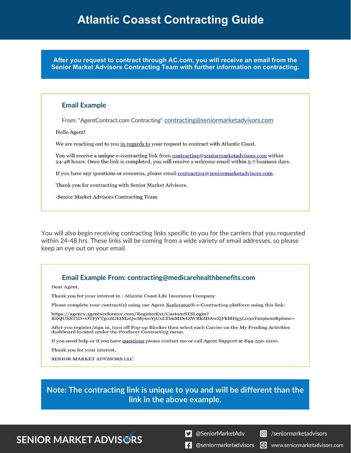**After you request to contract through AC.com, you will receive an email from the Senior Market Advisors Contracting Team with further information on contracting.**

#### **Email Example**

From: "AgentContract.com Contracting" [contracting@seniormarketadvisors.com](mailto:contracting@seniormarketadvisors.com)

Hello Agent!

We are reaching out to you in regards to your request to contract with Atlantic Coast.

You will receive a unique e-contracting link from contracting@seniormarketadvisors.com within 24-48 hours. Once the link is completed, you will receive a welcome email within 5-7 business days.

If you have any questions or concerns, please email contracting@seniormarketadvisors.com.

Thank you for contracting with Senior Market Advisors.

-Senior Market Advisors Contracting Team

You will also begin receiving contracting links specific to you for the carriers that you requested within 24-48 hrs. These links will be coming from a wide variety of email addresses, so please keep an eye out on your email.

### **Email Example From: contracting@medicarehealthbenefits.com**

Dear Agent,

Thank you for your interest in : Atlantic Coast Life Insurance Company

Please complete your contract(s) using our Agent Xcelerator® e-Contracting platform using this link:

https://agency.agentxcelerator.com/RegisterExt/CustomSTSLogin?<br>REQUESTID=OTFjYTgoZGEtM2QwMy00YjUxLTlmMDctZWRkZDAwZjFkMDg3L09uYm9hcmRpbmc=

After you register/sign in, turn off Pop-up Blocker then select each Carrier on the My Pending Activities dashboard located under the Producer Contracting menu.

If you need help or if you have questions please contact me or call Agent Support at 844-550-1200.

Thank you for your interest,

SENIOR MARKET ADVISORS LLC

**Note: The contracting link is unique to you and will be different than the link in the above example.**

## **SENIOR MARKET ADVISURS**

S @SeniorMarketAdv

C /seniormarketadvisors

 $\mathbf{F}$  @seniormarketadvisors  $\bigoplus$  www.seniormarketadvisors.com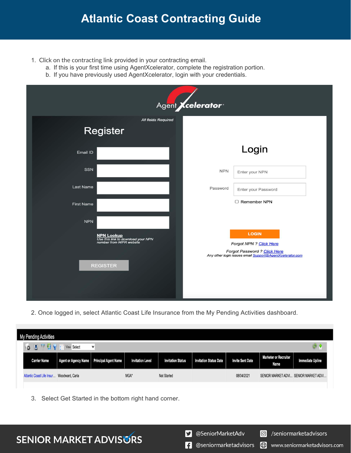## **Atlantic Coast Contracting Guide**

- 1. Click on the contracting link provided in your contracting email.
	- a. If this is your first time using AgentXcelerator, complete the registration portion.
	- b. If you have previously used AgentXcelerator, login with your credentials.

| Agent <i>Xcelerator</i>                                                                                |                                                                                                                                     |  |  |  |  |  |  |  |
|--------------------------------------------------------------------------------------------------------|-------------------------------------------------------------------------------------------------------------------------------------|--|--|--|--|--|--|--|
| All fields Required<br><b>Register</b>                                                                 |                                                                                                                                     |  |  |  |  |  |  |  |
| Email ID                                                                                               | Login                                                                                                                               |  |  |  |  |  |  |  |
| SSN                                                                                                    | <b>NPN</b><br>Enter your NPN                                                                                                        |  |  |  |  |  |  |  |
| Last Name                                                                                              | Password<br>Enter your Password                                                                                                     |  |  |  |  |  |  |  |
| <b>First Name</b><br><b>NPN</b>                                                                        | □ Remember NPN                                                                                                                      |  |  |  |  |  |  |  |
| <b>NPN Lookup</b><br>Use this link to download your NPN<br>number from NIPR website<br><b>REGISTER</b> | <b>LOGIN</b><br>Forgot NPN ? Click Here<br>Forgot Password ? Click Here<br>Any other login issues email Support@AgentXcelerator.com |  |  |  |  |  |  |  |

2. Once logged in, select Atlantic Coast Life Insurance from the My Pending Activities dashboard.

| My Pending Activities                                   |                      |                             |                         |                          |                               |                         |                                       |                         |  |  |
|---------------------------------------------------------|----------------------|-----------------------------|-------------------------|--------------------------|-------------------------------|-------------------------|---------------------------------------|-------------------------|--|--|
| $\bullet$ $\blacksquare$<br>View Select<br>$\checkmark$ |                      |                             |                         |                          |                               |                         |                                       |                         |  |  |
| <b>Carrier Name</b>                                     | Agent or Agency Name | <b>Principal Agent Name</b> | <b>Invitation Level</b> | <b>Invitation Status</b> | <b>Invitation Status Date</b> | <b>Invite Sent Date</b> | Marketer or Recruiter<br>Name         | <b>Immediate Upline</b> |  |  |
| Atlantic Coast Life Insur Woodward, Carla               |                      |                             | MGA*                    | <b>Not Started</b>       |                               | 08/04/2021              | SENIOR MARKET ADVI SENIOR MARKET ADVI |                         |  |  |

3. Select Get Started in the bottom right hand corner.

S @SeniorMarketAdv

Seniormarketadvisors

 $\bigoplus$ 

www.seniormarketadvisors.com

 $\left| \cdot \right|$  @seniormarketadvisors